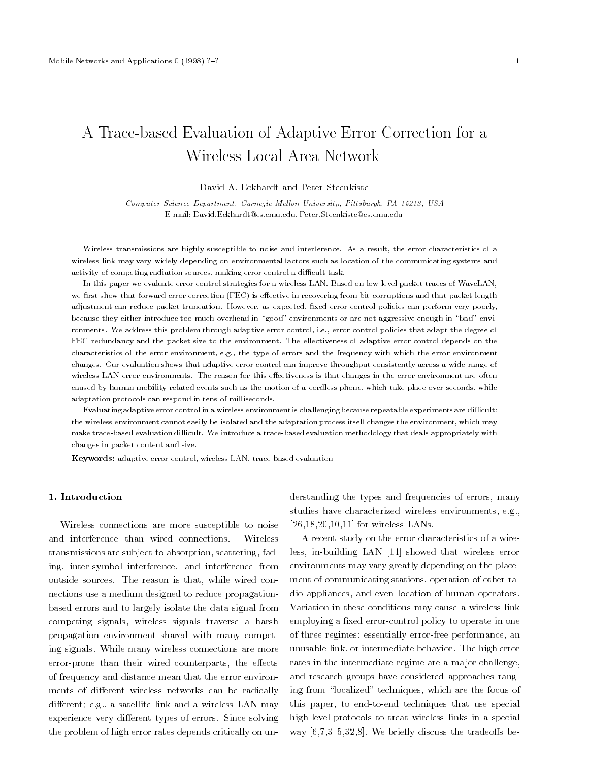# A Trace-based Evaluation of Adaptive Error Correction for a Wireless Local Area Network

### David A. Eckhardt and Peter Steenkiste

Computer Science Department Carnegie Mel lon University Pittsburgh PA -- USA E mail DavidEckhardtcscmuedu
 PeterSteenkistecscmuedu

Wireless transmissions are highly susceptible to noise and interference. As a result, the error characteristics of a wireless link may vary widely depending on environmental factors such as location of the communicating systems and activity of competing radiation sources, making error control a difficult task.

In this paper we evaluate error control strategies for a wireless LAN. Based on low-level packet traces of WaveLAN, we recovering that for the correction of the correction in recovering from bit corresponding packet length that adjustment can reduce packet truncation. However, as expected, fixed error control policies can perform very poorly, because they either introduce too much overhead in "good" environments or are not aggressive enough in "bad" environments. We address this problem through adaptive error control, i.e., error control policies that adapt the degree of FEC redundancy and the packet size to the environment. The effectiveness of adaptive error control depends on the characteristics of the error environment, e.g., the type of errors and the frequency with which the error environment changes Our evaluation shows that adaptive error control can improve throughput consistently across a wide range of wireless LAN error environments. The reason for this effectiveness is that changes in the error environment are often caused by human mobility-related events such as the motion of a cordless phone, which take place over seconds, while adaptation protocols can respond in tens of milliseconds

Evaluating adaptive error control in a wireless environment is challenging because repeatable experiments are difficult: the wireless environment cannot easily be isolated and the adaptation process itself changes the environment, which may make trace-based evaluation difficult. We introduce a trace-based evaluation methodology that deals appropriately with changes in packet content and size

Keywords: adaptive error control, wireless LAN, trace-based evaluation

Wireless connections are more susceptible to noise and interference than wired connections. Wireless transmissions are subject to absorption- scattering- fad ing- intersymbol interference- and interference from outside sources The reason is that-dimensional control  $\mathbb{R}^n$ nections use a medium designed to reduce propagation based errors and to largely isolate the data signal from competing signals-signals-signals-signals-signals-signals-signals-signals-signals-signals-signals-signals-signalspropagation environment shared with many compet ing signals While many wireless connections are more error prone than their wired counterparts-partsof frequency and distance mean that the error environ ments of different wireless networks can be radically dierent eg-aanderent eg-aanderent eg-aanderent and a wireless LAN may be andere en die verschieden die verschied experience very different types of errors. Since solving the problem of high error rates depends critically on un

derstanding the types and frequencies of errors- many studies have characterized wireless the characterized with - -- -  for wireless LANs

A recent study on the error characteristics of a wire less- inbuilding LAN  showed that wireless error environments may vary greatly depending on the place ment of communicating stations- operation of other ra dio appliances- and even location of human operators Variation in these conditions may cause a wireless link employing a fixed error-control policy to operate in one of three regimes essentially errorfree performance- an unusable link-behavior termine behavior The high error The high error The high error The high error The high e rates in the intermediate regime are a major challenge, and research groups have considered approaches rang ing from localized techniques- which are the focus of this paper-bound techniques that use special techniques that use special techniques that use special techniques high-level protocols to treat wireless links in a special way in the complete the tradeos and the tradeos between the tradeos below the tradeos below the tradeos below the tradeos below the tradeos of the tradeos of the tradeos of the tradeos of the tradeos of the tradeos of the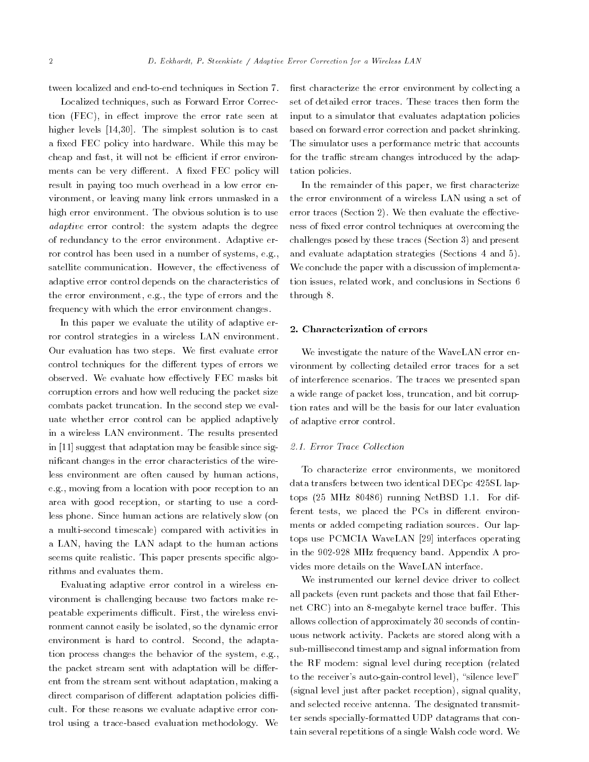tween localized and end-to-end techniques in Section 7.

Localized techniques- such as Forward Error Correc tion fears in the error rate is the error rate seed at the see might is a simple state in the simple solution in the simple solution is to castle of the simple solution is t a fixed FEC policy into hardware. While this may be cheap and fast-territorial notation in the ecoesistic environment in the ecoesistic environment in the ecoesistic environment in the ecoesistic environment in the ecoesistic environment in the ecoesistic environment in the ments can be very different. A fixed FEC policy will result in paying too much overhead in a low error en vironment- or leaving many link errors unmasked in a high error environment. The obvious solution is to use *adaptive* error control: the system adapts the degree of redundancy to the error environment Adaptive er ror control has been used in a number of systems- egsatellite communication However- the eectiveness of adaptive error control depends on the characteristics of the error environment-type of errors and the type of errors and the type of errors and the type of errors and the type of errors and the type of errors and the type of errors and the type of errors and the type of errors a frequency with which the error environment changes

In this paper we evaluate the utility of adaptive er ror control strategies in a wireless LAN environment Our evaluation has two steps. We first evaluate error control techniques for the different types of errors we observed. We evaluate how effectively FEC masks bit corruption errors and how well reducing the packet size combats packet truncation In the second step we eval uate whether error control can be applied adaptively in a wireless LAN environment. The results presented in  $[11]$  suggest that adaptation may be feasible since signi
cant changes in the error characteristics of the wire less environment are often caused by human actions, eg- moving from a location with poor reception to an area with good reception- or starting to use a cord less phone. Since human actions are relatively slow (on a multi-second timescale) compared with activities in a matrix the LAN-C matrix to the first to the matrix of the human actions of the human actions of the human actions of the human actions of the contract of the contract of the contract of the contract of the contract of th seems quite realistic. This paper presents specific algorithms and evaluates them

Evaluating adaptive error control in a wireless en vironment is challenging because two factors make re peatable experiments dicult First- the wireless envi ronment cannot easily be isolated- so the dynamic error environment is hard to control Second-American is hard to control Second-American is hard to control Second-American in tion process changes the behavior of the system- egthe packet stream sent with adaptation will be different from the stream sent without adaptation-profession-profession-professiondirect comparison of different adaptation policies difficult. For these reasons we evaluate adaptive error control using a trace-based evaluation methodology. We

first characterize the error environment by collecting a set of detailed error traces These traces then form the input to a simulator that evaluates adaptation policies based on forward error correction and packet shrinking The simulator uses a performance metric that accounts for the traffic stream changes introduced by the adaptation policies

In the remainder of this paper- we 
rst characterize the error environment of a wireless LAN using a set of error traces (Section 2). We then evaluate the effectiveness of fixed error control techniques at overcoming the challenges posed by these traces (Section 3) and present and evaluate adaptation strategies (Sections 4 and 5). We conclude the paper with a discussion of implementa tion issues- related work- and conclusions in Sections the contract of the contract of the contract of the contract of the contract of the contract of the contract of the contract of the contract of the contract of the contract of the contract of the contract of the contract o

We investigate the nature of the WaveLAN error en vironment by collecting detailed error traces for a set of interference scenarios The traces we presented span a wide range of packet loss-packet loss-state in the state of tion rates and will be the basis for our later evaluation of adaptive error control

To characterize error environments- we monitored data transfers between two identical DECpc 425SL laptops in the state of the state of the state of the state of the state of the state of the state of the state o ferent tests-PCs in die placed tests-PCs in die placed tests-PCs in die placed tests-PCs in die placed tests-P ments or added competing radiation sources. Our laptops use PCMCIA WaveLAN [29] interfaces operating in the frequency band and the property and  $\mathcal{M}_{\mathcal{P}}$ vides more details on the WaveLAN interface

We instrumented our kernel device driver to collect all packets (even runt packets and those that fail Ethernet cally meer was a meeling in meerle trace wanted to meer allows collection of approximately 30 seconds of continuous network activity. Packets are stored along with a sub-millisecond timestamp and signal information from the RF modem: signal level during reception (related to the receivers and the receivers and the receivers are control level-level-level-level-level-level-level-levelsignal level in the packet reception-type receptionand selected receive antenna. The designated transmitter sends specially-formatted UDP datagrams that contain several repetitions of a single Walsh code word. We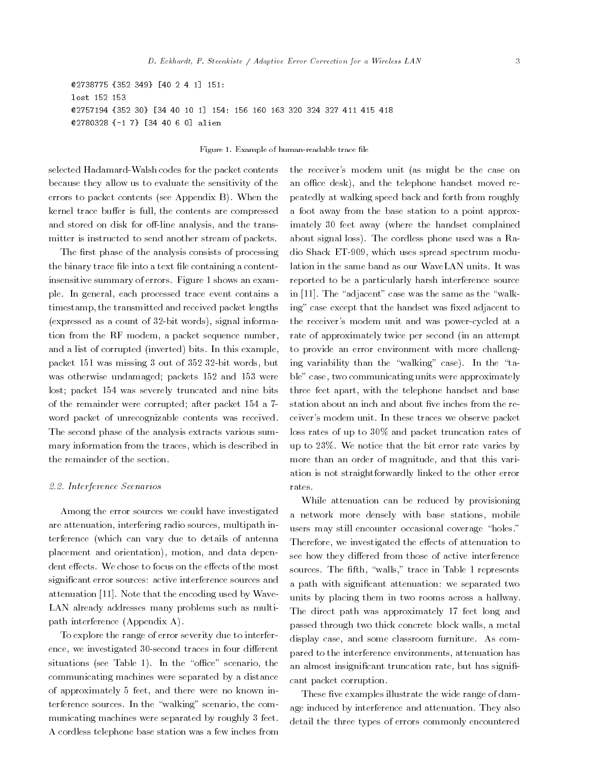3

32.00.10 (002 010) LIV 2 1 1 101. lost 
 which is the conflict to the third too the concent official the the varvoost (17) Louiso van dikken.

Figure 1. Example of human-readable trace file

selected Hadamard-Walsh codes for the packet contents because they allow us to evaluate the sensitivity of the errors to packet contents (see Appendix B). When the kernel trace buer is full-trace buen trace buen trace buen trace buen trace buen trace buen trace buen trace b and stored on disk for one disk for  $\alpha$ mitter is instructed to send another stream of packets

The first phase of the analysis consists of processing the binary trace 
le into a text 
le containing a content insensitive summary of errors. Figure 1 shows an example In general- each processed trace event contains a timestamp- the transmitted and received packet lengths expressed as a count of bit words-dimensional information  $\mathcal{L}^{\text{max}}$ tion tions the RF model of packet sequence numberand a list of corrupted (inverted) bits. In this example, packet based out the community of the community of the missing of the business of the business of the business was otherwise undamaged; packets 152 and 153 were lost; packet 154 was severely truncated and nine bits of the remainder were corrupted; after packet  $154$  a  $7$ word packet of unrecognizable contents was received The second phase of the analysis extracts various sum mary information from the traces-traces-in the traces-in the tracesthe remainder of the section

### -- Interference Scenarios

Among the error sources we could have investigated are attenuation-interfering radio sources-interfering radio sources-interfering radio sources-interfering radio terference (which can vary due to details of antenna placement and orientation-placement and data depends on place dent effects. We chose to focus on the effects of the most signi
cant error sources active interference sources and attenuation  $[11]$ . Note that the encoding used by Wave-LAN already addresses many problems such as multi path interference (Appendix A).

To explore the range of error severity due to interfer ence- we investigated second traces in four dierent situations are the order of the oceanic contracts of the seed communicating machines were separated by a distance of approximately interest and there were no known in the set terference sources In the walking scenario-  $t$  the walking scenario-  $t$  the complex  $\mathbb{R}^n$ municating machines were separated by roughly 3 feet. A cordless telephone base station was a few inches from

the receiver's modem unit (as might be the case on and the telephone hands the telephone and the telephone handset moved and the telephone and the telephone and peatedly at walking speed back and forth from roughly a foot away from the base station to a point approx imately 30 feet away (where the handset complained about signal loss). The cordless phone used was a Raand which is a spectrum model which uperchanged spectrum models are spectrum models. lation in the same band as our WaveLAN units. It was reported to be a particularly harsh interference source in  $[11]$ . The "adjacent" case was the same as the "walking" case except that the handset was fixed adjacent to the receiver's modem unit and was power-cycled at a rate of approximately twice per second (in an attempt to provide an error environment with more challeng ing variability than the "walking" case). In the "table case- two communicating units were approximately three feet apart- with the telephone handset and the telephone station about an inch and about five inches from the receiver's modem unit. In these traces we observe packet loss rates of up to  $30\%$  and packet truncation rates of up to  $23\%$ . We notice that the bit error rate varies by more than an order of magnitude- and that this vari ation is not straightforwardly linked to the other error rates

While attenuation can be reduced by provisioning a network more densely with base stations- mobile users may still encounter occasional coverage "holes." Therefore- we investigated the eects of attenuation to see how they differed from those of active interference sources The Monthly States and the trace in Table and the Company a path with significant attenuation: we separated two units by placing them in two rooms across a hallway The direct path was approximately 17 feet long and passed through two thicker concrete a metal wallsdisplay case-book case-book case-book case-book case-book case-book case-book case-book case-book case-book ca pared to the interference environments- attenuation has an almost instrument truncation rate of the significant results of  $\Delta$ cant packet corruption

These five examples illustrate the wide range of damage induced by interference and attenuation. They also detail the three types of errors commonly encountered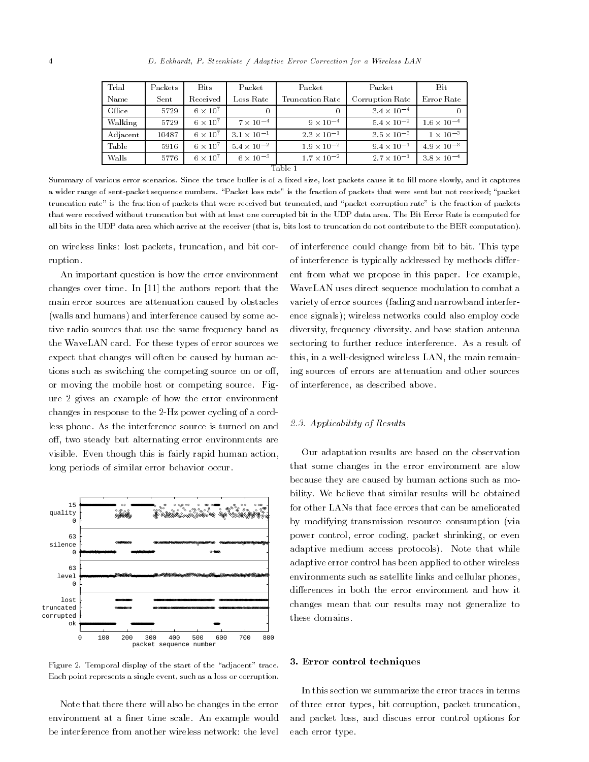| Packets | <b>Bits</b>     | Packet               | Packet               | Packet                 | Bit                  |
|---------|-----------------|----------------------|----------------------|------------------------|----------------------|
| Sent    | Received        | Loss Rate            | Truncation Rate      | <b>Corruption Rate</b> | Error Rate           |
| 5729    | $6 \times 10^7$ | 0                    | $\Omega$             | $3.4 \times 10^{-4}$   | 0                    |
| 5729    | $6 \times 10^7$ | $7 \times 10^{-4}$   | $9 \times 10^{-4}$   | $5.4 \times 10^{-2}$   | $1.6 \times 10^{-4}$ |
| 10487   | $6 \times 10^7$ | $3.1 \times 10^{-1}$ | $2.3 \times 10^{-1}$ | $3.5 \times 10^{-3}$   | $1 \times 10^{-3}$   |
| 5916    | $6 \times 10^7$ | $5.4 \times 10^{-2}$ | $1.9 \times 10^{-2}$ | $9.4 \times 10^{-1}$   | $4.9 \times 10^{-3}$ |
| 5776    | $6 \times 10^7$ | $6 \times 10^{-3}$   | $1.7 \times 10^{-2}$ | $2.7 \times 10^{-1}$   | $3.8 \times 10^{-4}$ |
|         |                 |                      |                      |                        |                      |

Summary of various error scenarios. Since the trace buffer is of a fixed size, lost packets cause it to fill more slowly, and it captures a wider range of sent-packet sequence numbers. "Packet loss rate" is the fraction of packets that were sent but not received; "packet truncation rate" is the fraction of packets that were received but truncated, and "packet corruption rate" is the fraction of packets that were received without truncation but with at least one corrupted bit in the UDP data area The Bit Error Rate is computed for all bits in the UDP data area which arrive at the receiver point is that the bits lost the BER computation do

on wireless links lost packets- truncation- and bit cor ruption

An important question is how the error environment changes over time. In  $[11]$  the authors report that the main error sources are attenuation caused by obstacles (walls and humans) and interference caused by some active radio sources that use the same frequency band as the WaveLAN card. For these types of error sources we expect that changes will often be caused by human ac tions such as switching the competing source on or off, or moving the mobile host or competing source Fig ure 2 gives an example of how the error environment changes in response to the 2-Hz power cycling of a cordless phone As the interference source is turned on and o- two steady but alternating error environments are visible. Even though this is fairly rapid human action, long periods of similar error behavior occur



Figure 2. Temporal display of the start of the "adjacent" trace. Each point represents a single event, such as a loss or corruption.

Note that there there will also be changes in the error environment at a finer time scale. An example would be interference from another wireless network: the level of interference could change from bit to bit This type of interference is typically addressed by methods different from what we propose in this paper. For example, WaveLAN uses direct sequence modulation to combat a variety of error sources (fading and narrowband interference signals); wireless networks could also employ code and base station and base station and base station and station and station and station and sectoring to further reduce interference. As a result of this- in a well-designed with remain the main remains and main remains of the main remains of the main remains ing sources of errors are attenuation and other sources of interference- as described above

# -- Applicability of Results

Our adaptation results are based on the observation that some changes in the error environment are slow because they are caused by human actions such as mo bility. We believe that similar results will be obtained for other LANs that face errors that can be ameliorated by modifying transmission resource consumption (via power control- control- control- control- control- control- control- control- control- control- control- controladaptive medium access protocols). Note that while adaptive error control has been applied to other wireless environments such as satellite links and cellular phones, differences in both the error environment and how it changes mean that our results may not generalize to these domains

### - Error control techniques

In this section we summarize the error traces in terms of three errors types-types-types-types-types-types-types-types-types-types-types-types-types-types-types-typesand packet loss, which was discuss the discuss for the loss each error type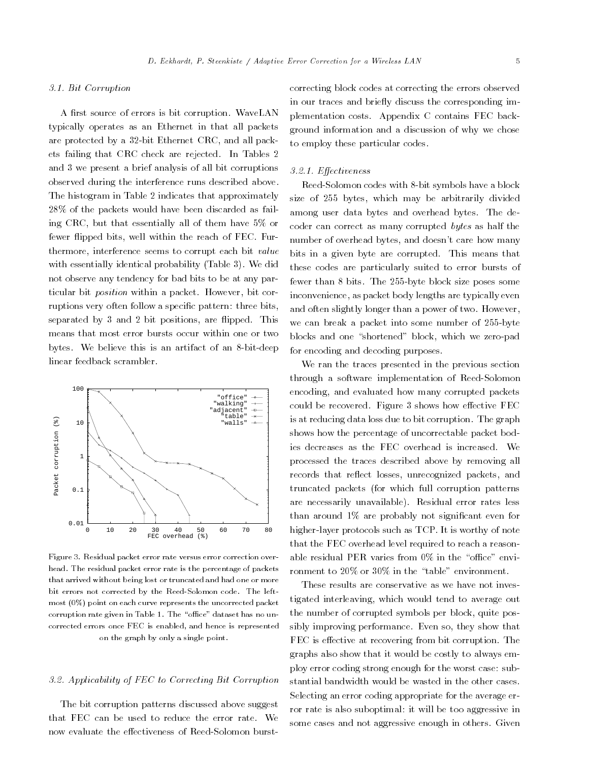# -- Bit Corruption

A first source of errors is bit corruption. WaveLAN typically operates as an Ethernet in that all packets are protected by a bit Ethernet Call pack and packets failing that CRC check are rejected. In Tables 2 and 3 we present a brief analysis of all bit corruptions observed during the interference runs described above The histogram in Table 2 indicates that approximately of the packets would have been discarded as failured as fails. ing CRC- but that essentially all of them have or fewer ipped bits- well within the reach of FEC Fur thermore-thermore-thermore-thermore-thermore-thermore-thermore-thermore-thermore-the-the-the-the-the-the-the-th with essentially identical probability (Table 3). We did not observe any tendency for bad bits to be at any par ticular bit position within a packet However- bit cor ruptions very often follow a specific pattern: three bits, separated by a strip of the positions of the integration of the strip of the strip of the strip of the strip of means that most error bursts occur within one or two by the west we believe the bit and artifact of an artifact of an artifact of an artifact of an artifact of an linear feedback scrambler.



Figure 3. Residual packet error rate versus error correction overhead. The residual packet error rate is the percentage of packets that arrived without being lost or truncated and had one or more bit errors not corrected by the Reed-Solomon code. The leftmost - point on each curve represents the uncorrected packet corruption rate given in Table 1. The "office" dataset has no uncorrected errors once FEC is enabled
 and hence is represented on the graph by only a single point

# external corrections of FEC to Correcting Bit Corrections and the corrections of the correction of the correction of the correction of the correction of the correction of the correction of the correction of the correction

The bit corruption patterns discussed above suggest that FEC can be used to reduce the error rate. We now evaluate the effectiveness of Reed-Solomon burstcorrecting block codes at correcting the errors observed in our traces and briefly discuss the corresponding implementation costs Appendix C contains FEC back ground information and a discussion of why we chose to employ these particular codes

### --- Eectiveness

ReedSolomon codes with bit symbols have a block sizes is been algebra divided the arbitrarily dividends arbitrarily dividend the contract of the contract of t among user data bytes and overhead bytes. The decoder can correct as many corrupted bytes as half the number of overhead by the overhead by the overhead by the overhead by the overhead by the overhead by the over bits in a given byte are corrupted. This means that these codes are particularly suited to error bursts of er the best than the bits the bits the bits the block size of the best of the bits of the bits of the bits of inconvenience-body lengths are typically evenience-body lengths are typically evenience are typically even are and often slightly longer than a power of two. However, we can break a packet into some number of 255-byte one show and show and one show and one show and part of for encoding and decoding purposes

We ran the traces presented in the previous section through a software implementation of Reed-Solomon encommunity and evaluated new manual corresponding packets. could be recovered. Figure  $3$  shows how effective FEC is at reducing data loss due to bit corruption. The graph shows how the percentage of uncorrectable packet bod ies decreases as the FEC overhead is increased We processed the traces described above by removing all records that reect losses- unrecognized packets- and truncated packets for which full corruption patterns are necessarily unavailable). Residual error rates less than around  $1\%$  are probably not significant even for higher-layer protocols such as TCP. It is worthy of note that the FEC overhead level required to reach a reason able residual PER varies from  $0\%$  in the "office" environment to  $20\%$  or  $30\%$  in the "table" environment.

These results are conservative as we have not inves tigated interleaving- which would tend to average out the number of corresponding symbols per block-block-block-block-block-block-block-block-block-block-block-blocksibly improving performance Even so, when some that  $\mathcal{L}_{\mathcal{A}}$ FEC is effective at recovering from bit corruption. The graphs also show that it would be costly to always em ploy error coding strong enough for the worst case: substantial bandwidth would be wasted in the other cases Selecting an error coding appropriate for the average er ror rate is also suboptimal: it will be too aggressive in some cases and not aggressive enough in others. Given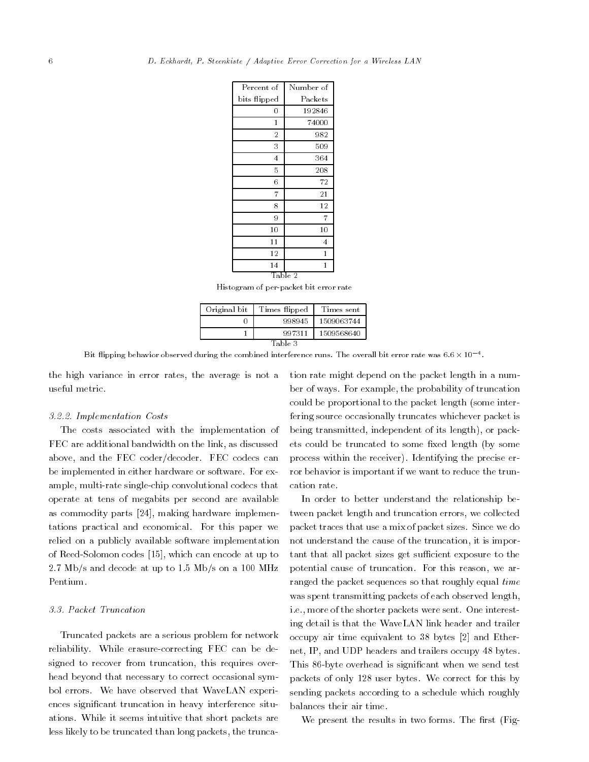| Percent of     | Number of      |
|----------------|----------------|
| bits flipped   | Packets        |
| 0              | 192846         |
| 1              | 74000          |
| 2              | 982            |
| 3              | 509            |
| 4              | 364            |
| 5              | 208            |
| 6              | 72             |
| $\overline{7}$ | 21             |
| 8              | 12             |
| 9              | $\overline{7}$ |
| 10             | $^{10}$        |
| 11             | 4              |
| 12             | 1              |
| 14             | 1              |
| Table          | 2              |

Histogram of per-packet bit error rate

| Original bit | Times flipped | Times sent |  |  |  |  |  |
|--------------|---------------|------------|--|--|--|--|--|
|              | 998945        | 1509063744 |  |  |  |  |  |
|              | 997311        | 1509568640 |  |  |  |  |  |
|              |               |            |  |  |  |  |  |

Bit flipping behavior observed during the combined interference runs. The overall bit error rate was  $6.6\times10^{-4}$ .

the high variance in error rates- the average is not a useful metric.

### --- Implementation Costs

The costs associated with the implementation of Fects are additional bandwidth on the link-bandwidth on the link-bandwidth on the link-bandwidth on the linkabove-the fect coder for the FEC coder fect can be the fect of the fect coder fect of  $\mathbb{F}_p$ be implemented in either hardware or software. For exmultiples and multiple singlechip codect that convolution that convolution that convolution that convolution o operate at tens of megabits per second are available as commodity parts = 1; making making the complement tations practical and economical For this paper we relied on a publicly available software implementation of ReedSolomon codes  $\blacksquare$  which can encode at up to  $\blacksquare$  $2.7$  Mb/s and decode at up to  $1.5$  Mb/s on a 100 MHz

Truncated packets are a serious problem for network reliability. While erasure-correcting FEC can be designed to recover from truncation-the this requires over head beyond that necessary to correct occasional sym bol errors. We have observed that WaveLAN experiences signi
cant truncation in heavy interference situ ations While it seems intuitive that short packets are less likely to be truncated than long packets- the trunca

tion rate might depend on the packet length in a num ber of ways For example-the probability of truncations of truncations of truncations of truncations of truncations of truncations of truncations of truncations of truncations of truncations of truncations of the probabilit could be proportional to the packet length (some interfering source occasionally truncates whichever packet is or the package of its length-distribution of its length-  $\mu$  is a packet of its lengthets could be truncated to some fixed length (by some process within the receiver). Identifying the precise error behavior is important if we want to reduce the trun

In order to better understand the relationship be tween packet length and truncation errors- we collected packet traces that use a mix of packet sizes. Since we do not understand the cause of the truncation- it is impor tant that all packet sizes get sufficient exposure to the potential cause of truncation For this reason- we ar ranged the packet sequences so that roughly equal time was spent transmitting packets of each observed length, ie- more of the shorter packets were sent One interest ing detail is that the WaveLAN link header and trailer occupy and times equivalent is to any the power distinct to the Ether net-bytes and UDP headers and UDP headers and UDP headers and UDP headers and trailers occupy and trailers occup This byte overhead is signi
cant when we send test parameters of only  $\mathcal{U}$  and the correct form of this bytes We correct for this bytes We correct for this by this by this by this by this by this by this by this by this by this by this by this by this by this by this sending packets according to a schedule which roughly balances their air time.

We present the results in two forms. The first  $(Fig-$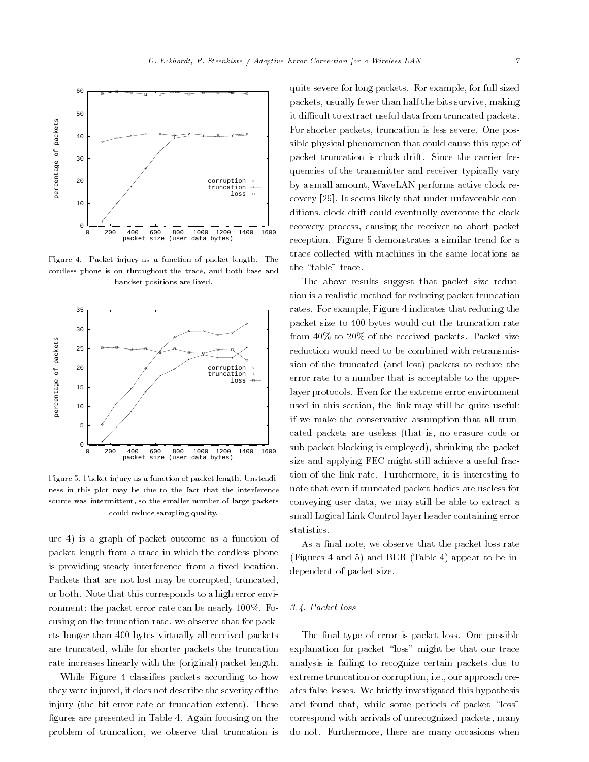

Figure 4. Packet injury as a function of packet length. The cordless phone is on throughout the trace
 and both base and handset positions are fixed.



Figure 5. Packet injury as a function of packet length. Unsteadiness in this plot may be due to the fact that the interference source was intermittent, so the smaller number of large packets could reduce sampling quality

ure 4) is a graph of packet outcome as a function of packet length from a trace in which the cordless phone is providing steady interference from a fixed location. Packets that are not lost may be corrupted- truncatedor both. Note that this corresponds to a high error environment: the packet error rate can be nearly  $100\%$ . Focusing on the truncation rate-truncation rate-truncation rate-truncation rate-truncation rate-truncation rateets longer than 400 bytes virtually all received packets are truncated-truncated-shorter packets the truncation of rate increases linearly with the (original) packet length.

While Figure 4 classifies packets according to how they were injured-to not described-the second the second are the second injury (the bit error rate or truncation extent). These figures are presented in Table 4. Again focusing on the problem of truncation-truncation-truncation-truncation-truncation-truncation-truncation-truncation-truncation-

quite severe for long packets. For example- for examplepackets-bits survive-than half the bits survive-than half the bits survive-the bits survive-the bits survive-t it difficult to extract useful data from truncated packets. For shorter packets- truncation is less severe One pos sible physical phenomenon that could cause this type of packet truncation is clock drift. Since the carrier frequencies of the transmitter and receiver typically vary by a small amount- WaveLAN performs active clock re covery [29]. It seems likely that under unfavorable conditions-ditions-drift could eventually overcome the clock drift could eventually overcome the clock of the clo recovery process- causing the receiver to abort packet reception. Figure 5 demonstrates a similar trend for a trace collected with machines in the same locations as the "table" trace.

The above results suggest that packet size reduc tion is a realistic method for reducing packet truncation rates For example- Figure - Figure - Figure - That reducing the reducing the reducing the reducing the reducing  $\sim$ packet size to 400 bytes would cut the truncation rate from  $40\%$  to  $20\%$  of the received packets. Packet size reduction would need to be combined with retransmis sion of the truncated (and lost) packets to reduce the error rate to a number that is acceptable to the upper layer protocols. Even for the extreme error environment used in this section and the link may still still be a still be distinct if we make the conservative assumption that all trun cated packets are useless that is- no erasure code or subpacture is the packet of the packet blocking the packet of the packet of the packet of the packet of the packet of the packet of the packet of the packet of the packet of the packet of the packet of the packet of the pa size and applying FEC might still achieve a useful frac tion of the link rate  $\mathcal{L}_{\mathcal{A}}$  rate  $\mathcal{L}_{\mathcal{A}}$  rate  $\mathcal{L}_{\mathcal{A}}$  is interesting to the link rate  $\mathcal{L}_{\mathcal{A}}$ note that even if truncated packet bodies are useless for conveying user data-based user data-based and the able to extract a still be able to extract a still be able to small Logical Link Control layer header containing error statistics

As a 
nal note- we observe that the packet loss rate (Figures 4 and 5) and BER (Table 4) appear to be independent of packet size

### -- Packet loss

The final type of error is packet loss. One possible explanation for packet "loss" might be that our trace analysis is failing to recognize certain packets due to extreme truncation-truncation-beam-dependent-beam-dependent-beam-dependent-beam-dependent-beam-dependent-beamates false losses. We briefly investigated this hypothesis and found that-distinguished that-distinguished periods of packet loss of packet loss of packet loss of packet correspond with a matrix of unrecognized packets packets of unrecognized packets, and the set of unrecognized p do not Furthermore-Turkey are many occasions when the many occasions when the many occasions when the many occasions when the many occasions when the many occasions when the many occasions when the many occasions when the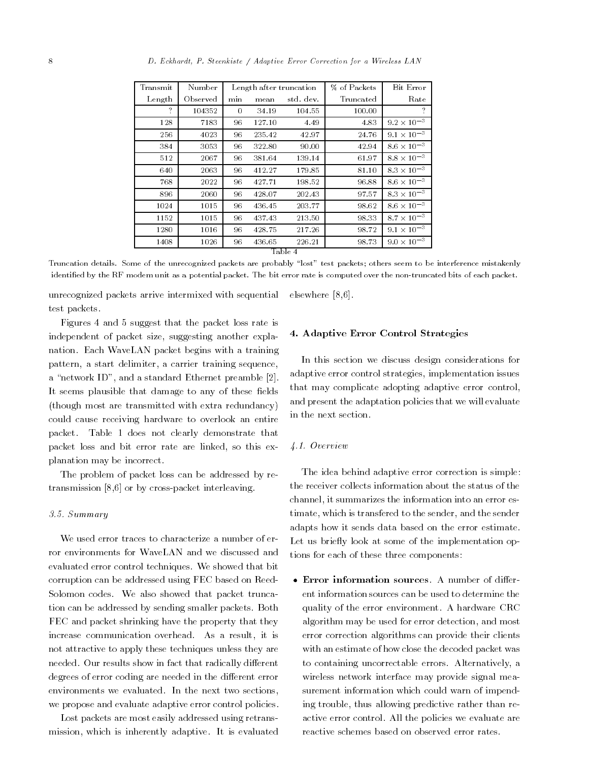| Transmit | Number   |          |        | Length after truncation | % of Packets | Bit Error            |
|----------|----------|----------|--------|-------------------------|--------------|----------------------|
| Length   | Observed | min      | mean   | std. dev.               | Truncated    | Rate                 |
| ?        | 104352   | $\Omega$ | 34.19  | 104.55                  | 100.00       | ?                    |
| 128      | 7183     | 96       | 127.10 | 4.49                    | 4.83         | $9.2\times10^{-3}$   |
| 256      | 4023     | 96       | 235.42 | 42.97                   | 24.76        | $9.1\times10^{-3}$   |
| 384      | 3053     | 96       | 322.80 | 90.00                   | 42.94        | $8.6\times10^{-3}$   |
| 512      | 2067     | 96       | 381.64 | 139.14                  | 61.97        | $8.8 \times 10^{-3}$ |
| 640      | 2063     | 96       | 412.27 | 179.85                  | 81.10        | $8.3 \times 10^{-3}$ |
| 768      | 2022     | 96       | 427.71 | 198.52                  | 96.88        | $8.6 \times 10^{-3}$ |
| 896      | 2060     | 96       | 428.07 | 202.43                  | 97.57        | $8.3 \times 10^{-3}$ |
| 1024     | 1015     | 96       | 436.45 | 203.77                  | 98.62        | $8.6 \times 10^{-3}$ |
| 1152     | 1015     | 96       | 437.43 | 213.50                  | 98.33        | $8.7 \times 10^{-3}$ |
| 1280     | 1016     | 96       | 428.75 | 217.26                  | 98.72        | $9.1 \times 10^{-3}$ |
| 1408     | 1026     | 96       | 436.65 | 226.21                  | 98.73        | $9.0 \times 10^{-3}$ |

D. Eckhardt, P. Steenkiste / Adaptive Error Correction for a Wireless LAN

Table 4

Truncation details. Some of the unrecognized packets are probably "lost" test packets; others seem to be interference mistakenly identified by the RF modem unit as a potential packet. The bit error rate is computed over the non-truncated bits of each packet.

unrecognized packets arrive intermixed with sequential test packets

elsewhere -

Figures 4 and 5 suggest that the packet loss rate is independent of packet size- suggesting another expla nation Each WaveLAN packet begins with a training pattern-based a start delimiter-sequence-sequence-sequence-sequence-sequence-sequence-sequence-sequence-sequen a and a standard in the standard extended presented prior It seems plausible that damage to any of these fields though most are transmitted with extra redundancy could cause receiving hardware to overlook an entire packet. Table 1 does not clearly demonstrate that pacted to the packet loss and and the line are linkedplanation may be incorrect

The problem of packet loss can be addressed by re  $\blacksquare$  or by crosspacket interleaving interleaving interleaving interleaving interleaving interleaving interleaving interleaving interleaving interleaving interleaving interleaving interleaving interleaving interleaving i

# -- Summary

We used error traces to characterize a number of er ror environments for WaveLAN and we discussed and evaluated error control techniques We showed that bit corruption can be addressed using FEC based on Reed Solomon codes. We also showed that packet truncation can be addressed by sending smaller packets. Both FEC and packet shrinking have the property that they increase communication overhead As a result- it is not attractive to apply these techniques unless they are needed. Our results show in fact that radically different degrees of error coding are needed in the different error environments we evaluated. In the next two sections, we propose and evaluate adaptive error control policies

Lost packets are most easily addressed using retrans mission- which is inherently adaptive It is evaluated

# - Adaptive Error Control Strategies

In this section we discuss design considerations for adaptive error control strategies, mappentation issues and the that may complicate adopting adaptive error controland present the adaptation policies that we will evaluate in the next section.

# -- Overview

The idea behind adaptive error correction is simple the receiver collects information about the status of the channel-being-the into an error estimation into an error estimation into an error estimation into an error est timate- which is transfered to the sender- and the sender adapts how it sends data based on the error estimate Let us briefly look at some of the implementation options for each of these three components

ent information sources can be used to determine the quality of the error environment A hardware CRC algorithm may be used for error detection- and most error correction algorithms can provide their clients with an estimate of how close the decoded packet was to containing uncorrectable errors Alternatively- a wireless network interface may provide signal mea surement information which could warn of impend  $\Box$  thus allowing predictions  $\Box$  thus allowed  $\Box$ active error control All the policies we evaluate are reactive schemes based on observed error rates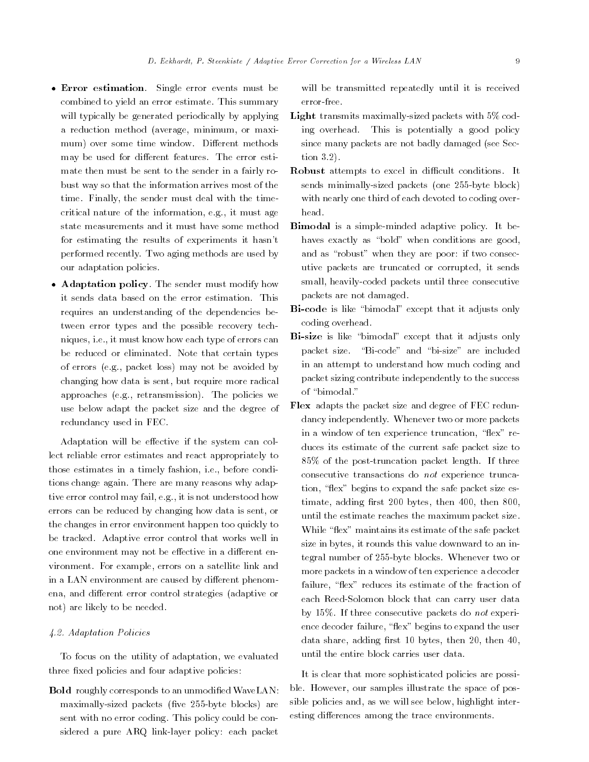- Error estimation Single error events must be combined to yield an error estimate. This summary will typically be generated periodically by applying a reduction method average minimum- er minimummum) over some time window. Different methods may be used for different features. The error estimate then must be sent to the sender in a fairly ro bust way so that the information arrives most of the time Finally- the sender must deal with the time critical nature of the information-information-information-information-information-information-information-information-information-information-information-information-information-information-information-information-informa state measurements and it must have some method for estimating the results of experiments it hasn't performed recently Two aging methods are used by our adaptation policies
- Adaptation policy The sender must modify how it sends data based on the error estimation. This requires an understanding of the dependencies be tween error types and the possible recovery tech niques-ie-controller international candidates and the errors candidates of errors candidates and the errors can be reduced or eliminated. Note that certain types of errors eg-caretage loss may not be avoided by a series of the avoided by a series of the avoided by a series changing how data is sent-to-more radical intervention of the sent-to-more radical intervention of the sent-toapproaches ege consumersation to policies we use below adapt the packet size and the degree of redundancy used in FEC

Adaptation will be effective if the system can collect reliable error estimates and react appropriately to those estimates in a timely fashion- ie- before condi tions change again There are many reasons why adap tive error control may fail- eg- it is not understood how errors can be reduced by changing how data is sent- or the changes in error environment happen too quickly to be tracked. Adaptive error control that works well in one environment may not be effective in a different environment For example- errors on a satellite link and the example- errors on a satellite link and the examplein a LAN environment are caused by different phenomena- and dierent error control strategies adaptive or not) are likely to be needed.

### -- Adaptation Policies

we even an the utility of adaptation, we evaluated the second state of  $\sim$ three 
xed policies and four adaptive policies

Bold roughly corresponds to an unmodified WaveLAN: maximally-sized packets (five 255-byte blocks) are sent with no error coding. This policy could be considered a pure ARQ link-layer policy: each packet

will be transmitted repeatedly until it is received error-free.

- **Light** transmits maximally-sized packets with  $5\%$  coding overhead This is potentially a good policy since many packets are not badly damaged (see Section  $3.2$ ).
- Robust attempts to excel in difficult conditions. It sends minimally-sized packets (one 255-byte block) with nearly one third of each devoted to coding over head
- **Bimodal** is a simple-minded adaptive policy. It behaves exactly as "bold" when conditions are good, and as "robust" when they are poor: if two consecutive packets are truncated or corrupted-by the corrupted-by-corrupted-by-corrupted-by-corrupted-by-corruptedsmall- heavilycoded packets until three consecutive packets are not damaged
- Bi-code is like "bimodal" except that it adjusts only coding overhead
- **Bi-size** is like "bimodal" except that it adjusts only packet size. "Bi-code" and "bi-size" are included in an attempt to understand how much coding and packet sizing contribute independently to the success of "bimodal."
- Flex adapts the packet size and degree of FEC redundancy independently. Whenever two or more packets in a window of ten experience truncation-between truncation-between truncation-between truncation-between trunc duces its estimate of the current safe packet size to of the posttrum is the packet of the packet of the packet of the  $\alpha$ consecutive transactions do not experience trunca tion, bith a given to the safe the safe packet size of timate-then then adding the state of the state of the state of the state of the state of the state of the state of the state of the state of the state of the state of the state of the state of the state of the state of the until the estimate reaches the maximum packet size While "flex" maintains its estimate of the safe packet size it and it provides the state of the contract the contract of the state of the state of the state of the s tegral number of 255-byte blocks. Whenever two or more packets in a window of ten experience a decoder failure-the failure-the failure-the-fraction of the fraction of the fraction of the fraction of the fraction of the fraction of the fraction of the fraction of the fraction of the fraction of the fraction of the fraction o each Reed-Solomon block that can carry user data by  $15\%$ . If three consecutive packets do *not* experience decoder failure- to expand to expand the user that  $\sim$ data share-bytes-bytes-bytes-bytes-bytes-bytes-bytes-bytes-bytes-bytes-bytes-bytes-bytes-bytes-bytes-bytes-byt until the entire block carries user data

It is clear that more sophisticated policies are possi ble However-However-However-However-However-However-However-However-However-However-However-However-However-Ho sible policies and as we will see below-below-below-below-below-below-below-below-below-below-below-below-belo esting differences among the trace environments.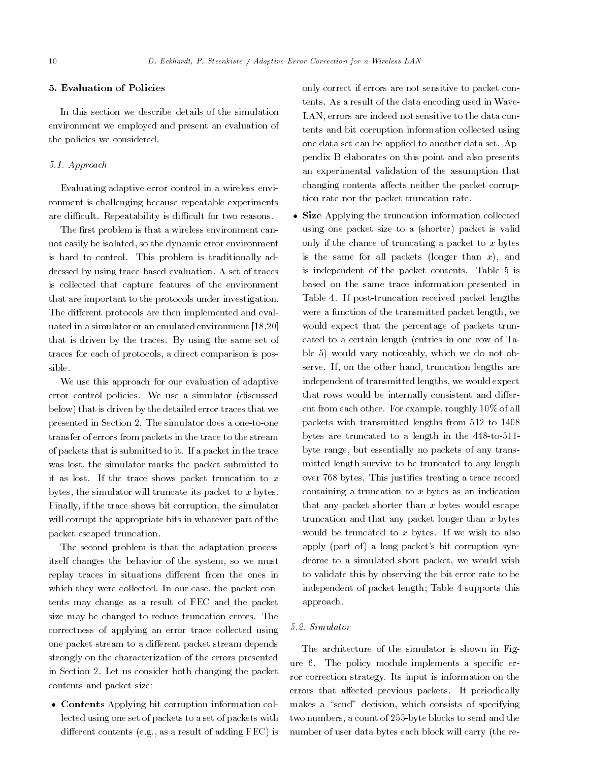# 5. Evaluation of Policies

In this section we describe details of the simulation environment we employed and present an evaluation of the policies we considered

### -- Approach

Evaluating adaptive error control in a wireless envi ronment is challenging because repeatable experiments are difficult. Repeatability is difficult for two reasons.

The first problem is that a wireless environment cannot easily be included by it and the distribution and the distribution of is hard to control. This problem is traditionally addressed by using trace-based evaluation. A set of traces is collected that capture features of the environment that are important to the protocols under investigation The different protocols are then implemented and evaluated in a simulated in a simulated environment  $\mathbf{u}$  and  $\mathbf{u}$  and  $\mathbf{u}$  and  $\mathbf{u}$ that is driven by the traces By using the same set of traces for each of protocols- a direct comparison is pos

We use this approach for our evaluation of adaptive error control policies. We use a simulator (discussed below) that is driven by the detailed error traces that we presented in Section 2. The simulator does a one-to-one transfer of errors from packets in the trace to the stream of packets that is submitted to it If a packet in the trace was lost-lost-marks the packet submitted to packet submitted to the packet submitted to the packet submitted t it as lost. If the trace shows packet truncation to  $x$ by the simulator will truncate its packet to the simulation of the signal truncate to a by the signal of the s Finally- if the trace shows bit corruption- the simulator will corrupt the appropriate bits in whatever part of the packet escaped truncation

The second problem is that the adaptation process itself changes the behavior of the system- so we must replay traces in situations different from the ones in which they were collected in our case-there packet contents may change as a result of FEC and the packet size may be changed to reduce truncation errors The correctness of applying an error trace collected using one packet stream to a different packet stream depends strongly on the characterization of the errors presented in Section 2. Let us consider both changing the packet contents and packet size

 Contents Applying bit corruption information col lected using one set of packets to a set of packets with dierent contents en adding FEC is a result of adding FEC is a result of adding FEC is a result of adding FEC is a result of adding FEC is a result of adding FEC is a result of adding FEC is a result of adding FEC is a res only correct if errors are not sensitive to packet con tents As a result of the data encoding used in Wave LAN- errors are indeed not sensitive to the data con tents and bit corruption information collected using one data set can be applied to another data set. Appendix B elaborates on this point and also presents an experimental validation of the assumption that changing contents affects neither the packet corruption rate nor the packet truncation rate

 Size Applying the truncation information collected using one packet size to a (shorter) packet is valid only if the chance of truncating a packet to  $x$  bytes is the same for all packets longer than x- and is independent of the packet contents. Table 5 is based on the same trace information presented in Table 4. If post-truncation received packet lengths were a function of the transmitted packet length-transmitted packet length-transmitted packet length-transmitted packet lengthwould expect that the percentage of packets trun cated to a certain length (entries in one row of Taare a world vary method we do not obey a more of the contract of the contract of the contract of the contract serve If-truncation lengths are the other hand-distribution lengths are the other hand-distribution lengths are the other handindependent of transmitted lengths- we would expect that rows would be internally consistent and different from each other For example, for all  $\alpha$  all  $\alpha$ packets with transmitted lengths from  $512$  to  $1408$ bytes are truncated to a length in the to byte range- but essentially no packets of any trans mitted length survive to be truncated to any length over bytes This justi
es treating a trace record containing a truncation to  $x$  bytes as an indication that any packet shorter than  $x$  bytes would escape truncation and that any packet longer than  $x$  bytes would be truncated to  $x$  bytes. If we wish to also apply (part of) a long packet's bit corruption syna simulated shows a simulated shows that will wish the simulated shows that the simulated shows that the simula to validate this by observing the bit error rate to be independent of packet length; Table 4 supports this approach

# 5.2. Simulator

The architecture of the simulator is shown in Fig ure 6. The policy module implements a specific error correction strategy. Its input is information on the errors that affected previous packets. It periodically makes a send decision-decision-decision-decision-decision-decision-decision-decision-decision-decision-decisio two numbers and the blocks to send and the blocks to send and the theory number of user data bytes each block will carry (the re-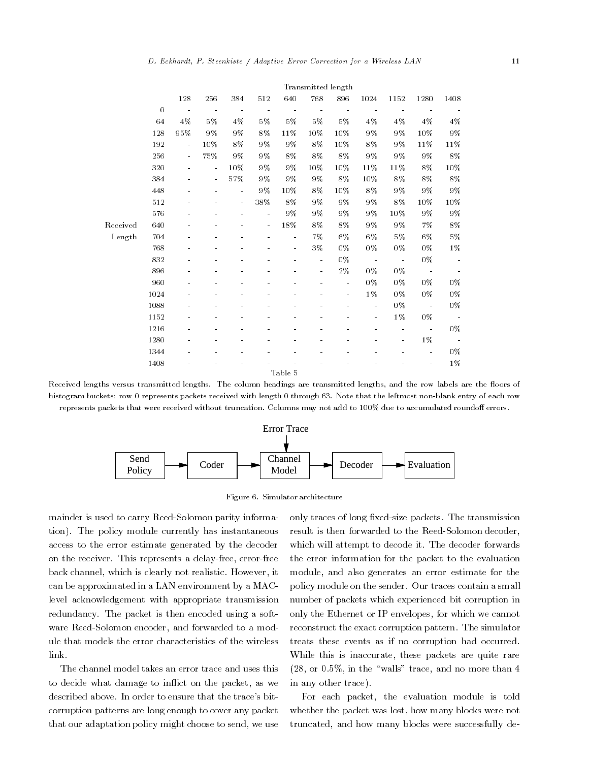|          |             |                |                      |                      |                      |                      | Transmitted length   |                      |        |                      |                      |                     |
|----------|-------------|----------------|----------------------|----------------------|----------------------|----------------------|----------------------|----------------------|--------|----------------------|----------------------|---------------------|
|          |             | 128            | 256                  | 384                  | 512                  | 640                  | 768                  | 896                  | 1024   | 1152                 | 1280                 | 1408                |
|          | $\mathbf 0$ | $\sim$         | $\ddot{\phantom{1}}$ | $\ddot{\phantom{1}}$ | $\ddot{\phantom{1}}$ | $\ddot{\phantom{1}}$ | $\ddot{\phantom{1}}$ | $\ddot{\phantom{1}}$ |        | $\ddot{\phantom{1}}$ |                      |                     |
|          | 64          | $4\%$          | 5%                   | 4%                   | 5%                   | 5%                   | $5\%$                | 5%                   | $4\%$  | $4\%$                | 4%                   | $4\%$               |
|          | 128         | 95%            | 9%                   | 9%                   | 8%                   | 11%                  | 10%                  | 10%                  | 9%     | 9%                   | 10%                  | 9%                  |
|          | 192         | ä,             | 10%                  | 8%                   | 9%                   | 9%                   | $8\%$                | 10%                  | 8%     | 9%                   | 11%                  | 11%                 |
|          | 256         | ä,             | 75%                  | 9%                   | 9%                   | 8%                   | $8\%$                | $8\%$                | 9%     | 9%                   | 9%                   | $8\%$               |
|          | 320         | $\overline{a}$ | ä,                   | 10%                  | 9%                   | 9%                   | 10%                  | 10%                  | 11\%   | 11\%                 | 8%                   | 10%                 |
|          | 384         |                | ä,                   | 57%                  | 9%                   | 9%                   | 9%                   | 8%                   | 10%    | 8%                   | 8%                   | 8%                  |
|          | 448         |                |                      | $\bar{\phantom{a}}$  | 9%                   | 10%                  | 8%                   | 10%                  | 8%     | 9%                   | 9%                   | 9%                  |
|          | 512         |                |                      | $\equiv$             | $38\%$               | 8%                   | 9%                   | 9%                   | 9%     | 8%                   | 10%                  | 10%                 |
|          | 576         |                |                      |                      | $\frac{1}{2}$        | 9%                   | 9%                   | 9%                   | 9%     | 10%                  | 9%                   | 9%                  |
| Received | 640         |                |                      |                      | $\omega$             | 18%                  | 8%                   | 8%                   | 9%     | 9%                   | 7%                   | $8\%$               |
| Length   | 704         |                |                      |                      |                      | $\overline{a}$       | 7%                   | 6%                   | 6%     | 5%                   | 6%                   | 5%                  |
|          | 768         |                |                      |                      |                      | $\equiv$             | 3%                   | $0\%$                | $0\%$  | $0\%$                | 0%                   | $1\,\%$             |
|          | 832         |                |                      |                      |                      |                      | $\sim$               | $0\%$                | $\sim$ | $\sim$               | 0%                   | $\bar{\phantom{a}}$ |
|          | 896         |                |                      |                      |                      |                      | $\sim$               | 2%                   | $0\%$  | $0\%$                | $\sim$ $\sim$        | $\sim$              |
|          | 960         |                |                      |                      |                      |                      |                      | ÷,                   | 0%     | $0\%$                | $0\%$                | $0\%$               |
|          | 1024        |                |                      |                      |                      |                      |                      | ä,                   | 1%     | $0\%$                | 0%                   | $0\%$               |
|          | 1088        |                |                      |                      |                      |                      |                      |                      |        | $0\%$                | $\sim$               | 0%                  |
|          | 1152        |                |                      |                      |                      |                      |                      |                      |        | $1\%$                | 0%                   | $\sim$ $-$          |
|          | 1216        |                |                      |                      |                      |                      |                      |                      |        | $\equiv$             | $\sim$               | $0\%$               |
|          | 1280        |                |                      |                      |                      |                      |                      |                      |        |                      | $1\%$                | $\sim$ $\pm$        |
|          | 1344        |                |                      |                      |                      |                      |                      |                      |        |                      | $\ddot{\phantom{1}}$ | $0\%$               |
|          | 1408        |                |                      |                      |                      |                      |                      |                      |        |                      |                      | $1\%$               |

Received lengths versus transmitted lengths. The column headings are transmitted lengths, and the row labels are the floors of matriquam buchets row is represented packets received with length in the leftmost non-blank entry of each row o

represents packets that were received without truncation. Columns may not add to 100% due to accumulated roundoff errors.



Figure 6. Simulator architecture

mainder is used to carry Reed-Solomon parity information). The policy module currently has instantaneous access to the error estimate generated by the decoder on the receiver This represents a delay free-free-freeback channel-back channel-back channel-back channel-back channel-back channel-back channel-back channel-back c can be approximated in a LAN environment by a MAC level acknowledgement with appropriate transmission redundancy. The packet is then encoded using a software code a modern encodered to a modern encodered to a modern and the second ule that models the error characteristics of the wireless link.

The channel model takes an error trace and uses this to decide what damage to inict on the packet- as we described above. In order to ensure that the trace's bitcorruption patterns are long enough to cover any packet that our adaptation policy might choose to send- we use

only traces of long fixed-size packets. The transmission result is then forwarded to the Reed-Solomon decoder, which will attempt to decode it. The decoder forwards the error information for the packet to the evaluation module- and also generates an error estimate for the policy module on the sender. Our traces contain a small number of packets which experienced bit corruption in only the Ethernet or IP envelopes- for which we cannot reconstruct the exact corruption pattern. The simulator treats these events as if no corruption had occurred While this is inaccurate- these packets are quite rare - or - in the walls trace- and no more than in any other trace).

For each packet- the evaluation module is told whether the packet was lost-the packet was lost-the packet was lost-the packet was lost-the packet was lost-th truncated- and how many blocks were successfully de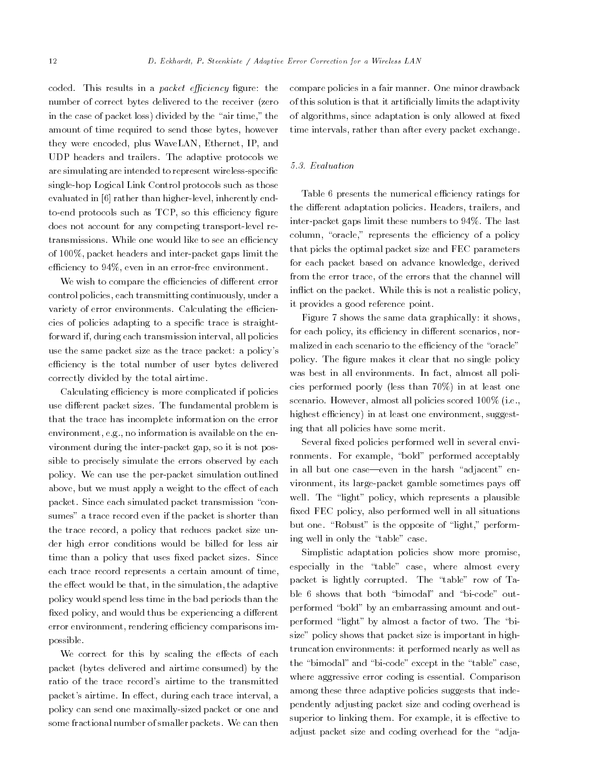coded. This results in a *packet efficiency* figure: the number of correct bytes delivered to the receiver (zero in the case of packet loss divided by the air time- the amount of time required to send those by the method they were encoded-plus were encoded-positions of the plus Wave UDP headers and trailers. The adaptive protocols we  $5.3. Evaluation$ are simulating are intended to represent wireless-specific single-hop Logical Link Control protocols such as those evaluated in the community of the first contract  $\mathcal{L}_{\mathcal{A}}$ toend protocols such as TCP-so this economic such as TCP-so this economic such as TCP-so this economic such as does not account for any competing transport-level retransmissions. While one would like to see an efficiency of the interpretation of the interpretation of the interpretation of the interpretation of the interpretation of the interpretation of the interpretation of the interpretation of the interpretation of the interpretation of eciency to - even in an error result in an error result in an error result in an error result in an error result in an error result in an error result in an error result in an error result in an error result in an error re

We wish to compare the efficiencies of different error control policies-beam transmitting continuously-transmitting continuously-transmitting continuously-transmitting continuouslyvariety of error environments. Calculating the efficiencies of policies adapting to a speci
c trace is straight forward if- during each transmission interval- all policies use the same packet size as the trace packet: a policy's efficiency is the total number of user bytes delivered correctly divided by the total airtime

Calculating efficiency is more complicated if policies use different packet sizes. The fundamental problem is that the trace has incomplete information on the error environment-ble available on information is available on the environment-ble environment-ble environment-ble e vironment during the interpretacy gap-post is not postsible to precisely simulate the errors observed by each policy. We can use the per-packet simulation outlined above-to a but we must apply a weight to the extent to the extra packet. Since each simulated packet transmission "consumes" a trace record even if the packet is shorter than the trace record- a policy that reduces packet size un der high error conditions would be billed for less air time than a policy that uses fixed packet sizes. Since each trace record represents a certain amount of time, the eect would be the simulation-be that-distribution-be that-distribution-be-distribution-be-distribution-bepolicy would spend less time in the bad periods than the xed policy- and would thus be experiencing a dierent error environment- rendering eciency comparisons im possible

We correct for this by scaling the effects of each packet (bytes delivered and airtime consumed) by the ratio of the trace record's airtime to the transmitted parameters are interval-trace interval-trace interval-trace interval-trace interval-trace interval-trace intervalpolicy can send one maximally-sized packet or one and some fractional number of smaller packets. We can then compare policies in a fair manner One minor drawback of this solution is that it arti
cially limits the adaptivity of algorithms-and although interesting and allowed at the state of the second state of the second state of the time intervals- rather than after every packet exchange

Table 6 presents the numerical efficiency ratings for the dierent adaptation policies Headers- trailers- and inter-packet gaps limit these numbers to  $94\%$ . The last column-column-literature-literature-literature-literature-literature-literature-literature-literature-literatu that picks the optimal packet size and FEC parameters for each packet based on advance knowledge- derived from the error trace- of the errors that the channel will inflict on the packet. While this is not a realistic policy, it provides a good reference point

Figure  $7$  shows the same data graphically: it shows, for each policy- its eciency in dierent scenarios- nor malized in each scenario to the efficiency of the "oracle" policy. The figure makes it clear that no single policy was almost in almost almost almost in factor in factor  $\mu$  almost cies performed poorly (less than  $70\%$ ) in at least one scenario ettori citi mettero uni policies score tra ivogenei; highest eciency in at least one environment- suggest ing that all policies have some merit

Several fixed policies performed well in several environments For example- bold performed acceptably in all but one case—even in the harsh "adjacent" environmenten i its largepacket gamble sometimes pays in the well the light policy-light policy-light policy-light policy-light policy-light policy-light policy-light policy- $\mathbf{F} = \mathbf{F} \mathbf{F}$ but one Robust is the opposite of light-dependence of light-dependence of light-dependence of light-dependence ing well in only the "table" case.

Simplistic adaptation policies show more promise, especially in the table case-table case-table case-table case-table case-table case-table case-table case-table packet is lightly corrupted. The "table" row of Table 6 shows that both "bimodal" and "bi-code" outperformed "bold" by an embarrassing amount and outperformed "light" by almost a factor of two. The "bisize" policy shows that packet size is important in hightruncation environments it performed nearly as well as the "bimodal" and "bi-code" except in the "table" case, where aggressive error coding is essential. Comparison among these three adaptive policies suggests that inde pendently adjusting packet size and coding overhead is superior to linking them For example- it is eective to adjust packet size and coding overhead for the "adja-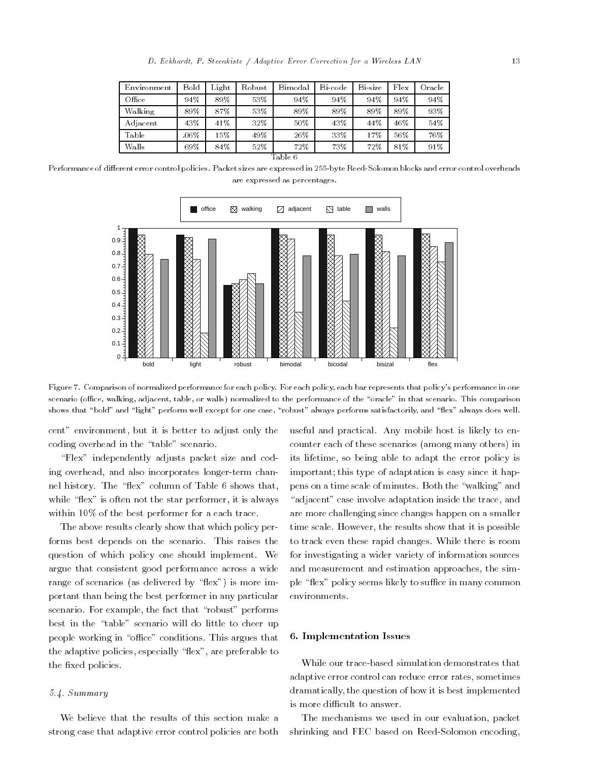| Environment | Bold    | Light | Robust | Bimodal | Bi-code | Bi-size | Flex | Oracle |
|-------------|---------|-------|--------|---------|---------|---------|------|--------|
| Office      | 94%     | 89%   | 53%    | 94%     | 94%     | 94%     | 94%  | 94%    |
| Walking     | 89%     | 87%   | 53%    | 89%     | 89%     | 89%     | 89%  | 93%    |
| Adjacent    | 43%     | 41%   | 32%    | 50%     | 43\%    | 44%     | 46%  | 54%    |
| Table       | $.06\%$ | 15%   | 49%    | 26%     | 33%     | 17%     | 56%  | 76%    |
| Walls       | 69%     | 84%   | 52%    | 72%     | 73%     | 72%     | 81%  | 91%    |
| Table 6     |         |       |        |         |         |         |      |        |

Performance of different error control policies. Packet sizes are expressed in 255-byte Reed-Solomon blocks and error control overheads are expressed as percentages



Figure 7. Comparison of normalized performance for each policy. For each policy, each bar represents that policy's performance in one scenario - scenario - walking normalized to the performance of the oracle in the oracle in that scenario This c shows that "bold" and "light" perform well except for one case, "robust" always performs satisfactorily, and "flex" always does well.

cent environment-but it is better to adjust only the top adjust only the second term of the second only the second only the second only the second only the second only the second only the second only the second only the se coding overhead in the "table" scenario.

"Flex" independently adjusts packet size and coding overhead- and also incorporates longerterm chan nel history. The "flex" column of Table 6 shows that, where the start control the start performance of the start  $\mathbf{r}_i$  is always the start  $\mathbf{r}_i$ within  $10\%$  of the best performer for a each trace.

The above results clearly show that which policy per forms best depends on the scenario. This raises the question of which policy one should implement. We argue that consistent good performance across a wide range of scenarios (as delivered by "flex") is more important than being the best performer in any particular scenario For example- the fact that robust performs best in the "table" scenario will do little to cheer up people working in "office" conditions. This argues that the adaptive policies proprieties, there preference to the fixed policies

### -- Summary

We believe that the results of this section make a strong case that adaptive error control policies are both

useful and practical Any mobile host is likely to en counter each of these scenarios (among many others) in its lifetime-to-adapt the error policy is lifetime-to-adapt the error policy is adapt the error policy is a so important; this type of adaptation is easy since it happens on a time scale of minutes. Both the "walking" and adjacent case in the trace-windig the trace-meter in the trace-windig the traceare more challenging since changes happen on a smaller time stime state it is the results show that it is not possible to to track even these rapid changes While there is room for investigating a wider variety of information sources and measurement and estimation approaches- the sim ple "flex" policy seems likely to suffice in many common environments

### - Implementation Issues

While our trace-based simulation demonstrates that adaptive error control can reduce error control can reduce error rates-territorium error ratesarmatically-draw-question of how it is best in the transposition of the state of  $\mathcal{L}_{\mathcal{A}}$ is more difficult to answer.

The mechanisms we used in our evaluation- packet shrinking and FEC based on Reed-Solomon encoding,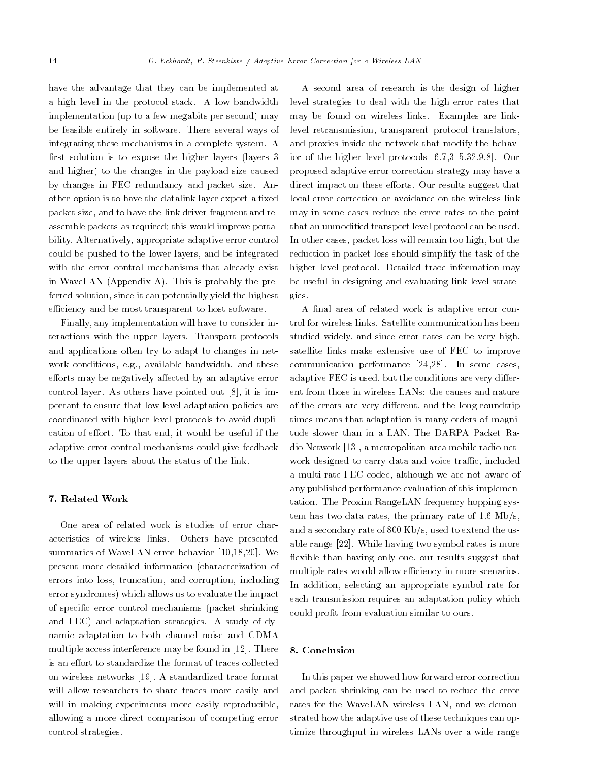have the advantage that they can be implemented at a high level in the protocol stack A low bandwidth implementation (up to a few megabits per second) may be feasible entirely in software. There several ways of integrating these mechanisms in a complete system A first solution is to expose the higher layers (layers  $3$ and higher) to the changes in the payload size caused by changes in FEC redundancy and packet size An other option is to have the datalink layer export a fixed packet size- and to have the link driver fragment and re assemble packets as required; this would improve portability Alternatively- appropriate adaptive error control could be pushed to the lower lay era mean as integrated to with the error control mechanisms that already exist in WaveLAN (Appendix A). This is probably the preferred solution- since it can potentially yield the highest efficiency and be most transparent to host software.

Finally- any implementation will have to consider in teractions with the upper layers Transport protocols and applications often try to adapt to changes in net work conditions-bandwidth-bandwidth-bandwidth-bandwidth-bandwidth-bandwidth-bandwidth-bandwidth-bandwidth-bandw efforts may be negatively affected by an adaptive error control layer As others have pointed out - it is im portant to ensure that low-level adaptation policies are coordinated with higher-level protocols to avoid duplication of eortest that end-to that end-to that end-to that end-to that end-to that end-to the useful if the use adaptive error control mechanisms could give feedback to the upper layers about the status of the link

One area of related work is studies of error char acteristics of wireless links Others have presented summaries in contraction tracticularly property of the state  $\mathcal{L}_{\mathcal{A}}$ present more detailed information characterization of errors into loss- truncation- and corruption- including error syndromes) which allows us to evaluate the impact of specific error control mechanisms (packet shrinking and FEC) and adaptation strategies. A study of dynamic adaptation to both channel noise and CDMA multiple access interference may be found in  $[12]$ . There **8. Conclusion** is an effort to standardize the format of traces collected on wireless networks [19]. A standardized trace format will allow researchers to share traces more easily and will in making experiments more easily reproducible, allowing a more direct comparison of competing error control strategies

A second area of research is the design of higher level strategies to deal with the high error rates that may be found on wireless links Examples are link level retransmission- transparent protocol translatorsand proxies inside the network that modify the behav ior of the higher level protocols - the higher level protocols - the higher level protocols - the higher level protocols - the higher level protocols - the higher level protocols - the higher level protocols - the higher l proposed adaptive error correction strategy may have a direct impact on these efforts. Our results suggest that local error correction or avoidance on the wireless link may in some cases reduce the error rates to the point that an unmodified transport level protocol can be used. In other cases- packet loss will remain too high- but the reduction in packet loss should simplify the task of the higher level protocol. Detailed trace information may be useful in designing and evaluating link-level strategies

A final area of related work is adaptive error control for wireless links Satellite communication has been studied widely-metal-since error rates can be very highsatellite links make extensive use of FEC to improve communication performance - In some cases-between the cases-between  $\mathbf{I}$ adaptive FEC is used-to the conditions are very discussed-with the conditions are very discussed-with the condi ent from those in wireless LANs: the causes and nature of the errors are very different and the round round rounds  $\sim$ times means that adaptation is many orders of magni tude slower than in a LAN. The DARPA Packet Raa metropolitanarea en mobile radio network and mobile radio network and mobile radio network and mobile radio work distribution to carry data and voice trace-trace-tracea multirate FEC codec- although we are not aware of any published performance evaluation of this implemen tation. The Proxim RangeLAN frequency hopping systhe the contract of  $\mathcal{L}_{\mathcal{A}}$  rates-of  $\mathcal{L}_{\mathcal{A}}$  . The primary rate of  $\mathcal{L}_{\mathcal{A}}$ and a secondary rate of the used to extend the used to extend the used to extend the used to extend the used t able range [22]. While having two symbol rates is more exible than having only one- our results suggest that multiple rates would allow efficiency in more scenarios. In addition- selecting an appropriate symbol rate for each transmission requires an adaptation policy which could profit from evaluation similar to ours.

In this paper we showed how forward error correction and packet shrinking can be used to reduce the error rates for the WaveLAN- wireless LAN- wireless LAN- wireless LAN- wireless LAN- wireless LAN- wireless LAN- wireless LAN- wireless LAN- wireless LAN- wireless LAN- wireless LAN- wireless LAN- wireless LAN- wireless LAN- wir strated how the adaptive use of these techniques can op timize throughput in wireless LANs over a wide range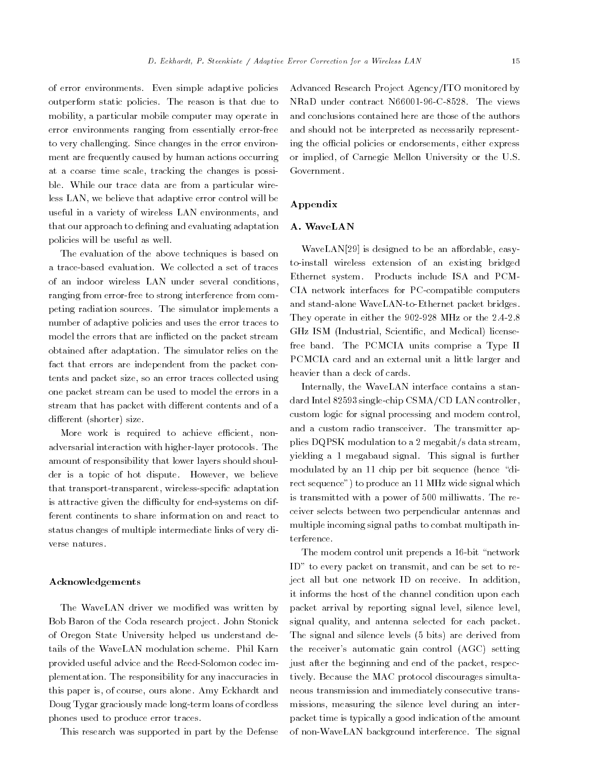of error environments Even simple adaptive policies outperform static policies The reason is that due to mobility-problems mobile computer mobile computer mobile in the computer mobile of the computer of the computer of the computer of the computer of the computer of the computer of the computer of the computer of the compute error environments ranging from essentially error-free to very challenging. Since changes in the error environment are frequently caused by human actions occurring at a control time scale, tracking the changes is possible ble. While our trace data are from a particular wireless LAN- we believe that adaptive error control will be useful in a variety of wireless LAN environments-wireless LAN environments-wireless LAN environments-wireless L that our approach to defining and evaluating adaptation  $A. WaveLAN$ policies will be useful as well

The evaluation of the above techniques is based on a trace-based evaluation. We collected a set of traces of an indoor wireless LAN under several conditionsranging from error-free to strong interference from competing radiation sources. The simulator implements a number of adaptive policies and uses the error traces to model the errors that are inflicted on the packet stream obtained after adaptation The simulator relies on the fact that errors are independent from the packet con tents and packet size- so an error traces collected using one packet stream can be used to model the errors in a stream that has packet with different contents and of a different (shorter) size.

More work is required to achieve ecient- non adversarial interaction with higher-layer protocols. The amount of responsibility that lower layers should shoul der is a topic of hot dispute However- we believe that the that the that the contract of the three contracts of the contracts of the contracts of the contracts o is attractive given the difficulty for end-systems on different continents to share information on and react to status changes of multiple intermediate links of very di verse natures

# Acknowledgements

The WaveLAN driver we modified was written by Bob Baron of the Coda research project John Stonick of Oregon State University helped us understand de tails of the WaveLAN modulation scheme Phil Karn provided useful advice and the Reed-Solomon codec implementation. The responsibility for any inaccuracies in this paper is the course- course-intervalsed and course-intervalsed and the course-Doug Tygar graciously made long-term loans of cordless phones used to produce error traces

This research was supported in part by the Defense

Advanced Research Project AgencyITO monitored by and conclusions contained here are those of the authors and should not be interpreted as necessarily represent ing the ocial policies or endorsements- either express or implied- of Carnegie Mellon University or the US Government

# Appendix

 $\mathcal{L}$  is designed to be a symmetric to be a symmetric to be a symmetric to be a symmetric to be a symmetric to be a symmetric to be a symmetric to be a symmetric to be a symmetric to be a symmetric to be a symmetric to to-install wireless extension of an existing bridged Ethernet system. Products include ISA and PCM-CIA network interfaces for PC-compatible computers and stand-alone WaveLAN-to-Ethernet packet bridges. They operate in either the MHz or the German and Medical licenses in the Medical licenses are and Medical licenses and Medical licenses are and Medical Licenses and Medical Licenses and Medical Licenses and Medical Licenses and Medical Licenses and Medical Lic free band. The PCMCIA units comprise a Type II PCMCIA card and an external unit a little larger and heavier than a deck of cards

Internally-the WaveLAN interface contains a standard contains a standard contains a standard contains a standard adressed the intellectual controller and controller controllers and controller and controller and controller a custom logic for signal processing and modem controland a custom radio transceiver. The transmitter applies DQPSK modulation to a 2 megabit/s data stream, yielding a 1 megabaud signal. This signal is further modulated by an 11 chip per bit sequence (hence "direct sequence") to produce an 11 MHz wide signal which is transmitted with a power of 500 milliwatts. The receiver selects between two perpendicular antennas and multiple incoming signal paths to combat multipath in terference

The modem control unit prepends a 16-bit "network ID to every packet on transmit- and can be set to re ject all but one network ID on receive. In addition, it informs the host of the channel condition upon each packet arrival by reporting signal level-arrival arrival levelsignal quality- and antenna selected for each packet The signal and silence levels (5 bits) are derived from the receiver's automatic gain control  $(AGC)$  setting just after the beginning and end of the packet- respec tively. Because the MAC protocol discourages simultaneous transmission and immediately consecutive trans missions- measuring the silence level during an inter packet time is typically a good indication of the amount of non-WaveLAN background interference. The signal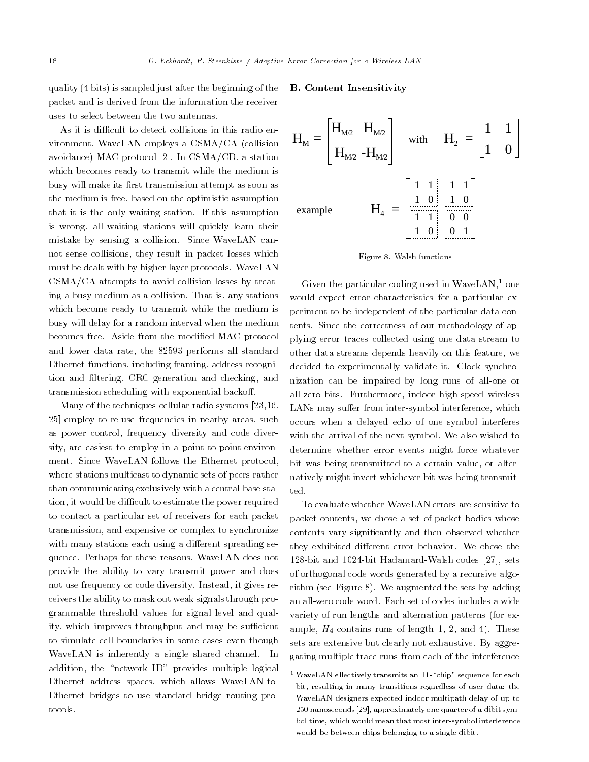quality (4 bits) is sampled just after the beginning of the packet and is derived from the information the receiver uses to select between the two antennas

As it is difficult to detect collisions in this radio environment - WaveLan employs a Collision provided to the collision avoidance materiale materiale materiale de la construction de la construction de la construction de la construction de la construction de la construction de la construction de la construction de la construction de la const which becomes ready to transmit while the medium is busy will make its first transmission attempt as soon as the medium is free-particle assumption in the optimization of the optimistic assumption of the optimistic assu that it is the only waiting station If this assumption is wrong- all waiting stations will quickly learn their mistake by sensing a collision. Since WaveLAN cannot sense collisions, in packet losses which is not continued to must be dealt with by higher layer protocols WaveLAN CSMA/CA attempts to avoid collision losses by treating a busy medium as a collision That is- any stations which become ready to transmit while the medium is busy will delay for a random interval when the medium becomes free. Aside from the modified MAC protocol and the lower data rate-completed all standards all standards all Ethernet functions- including framing- address recogni tion and 
ltering- CRC generation and checking- and transmission scheduling with exponential backo

Many of the techniques cellular radio systems - - employ to reuse frequencies in nearby areas- such as power control- frequency diversity and control- frequency diversity and code diversity and code diversity and code diversity and controlsity- are easiest to employ in a point to point entire ment. Since WaveLAN follows the Ethernet protocol, where stations multicast to dynamic sets of peers rather than communicating exclusively with a central base sta tion-be it would be dicult to estimate the power required be discovered by the power required by the power required to contact a particular set of receivers for each packet transmission- and expensive or complex to synchronize with many stations each using a different spreading sequence Perhaps for these reasons- WaveLAN does not provide the ability to vary transmit power and does not use frequency or code diversity instead- it gives requested and the code diversity instead- instead- insteadceivers the ability to mask out weak signals through pro grammable threshold values for signal level and qual ity- which improves throughput and may be sucient to simulate cell boundaries in some cases even though WaveLAN is inherently a single shared channel. In addition-provides multiple in the provides multiple logical control of the second control of the second control of the second control of the second control of the second control of the second control of the second control ethernet address spaces, which allows which allows WaveLANTO Ethernet bridges to use standard bridge routing pro tocols

#### B- Content Insensitivity



Figure 8. Walsh functions

Given the particular coding used in WaveLAN- one would expect error characteristics for a particular ex periment to be independent of the particular data con tents. Since the correctness of our methodology of applying error traces collected using one data stream to other data streams depends heavily on this feature- we decided to experimentally validate it. Clock synchronization can be impaired by long runs of all-one or aller in die steen van die biede wird hier van die steen van die steen van die steen van die steen van die ste LANs may suer from intersymbol interference- which occurs when a delayed echo of one symbol interferes with the arrival of the next symbol. We also wished to determine whether error events might force whatever bit was being transmitted to a certain value- or alter natively might invert whichever bit was being transmit ted

To evaluate whether WaveLAN errors are sensitive to packet contents, we choose whose separates whose whose whose contents vary signi
cantly and then observed whether they exhibited different error behavior. We chose the bit and  $\mathbf H$  and  $\mathbf H$  and  $\mathbf H$  and  $\mathbf H$  and  $\mathbf H$  and  $\mathbf H$  and  $\mathbf H$  and  $\mathbf H$  and  $\mathbf H$  and  $\mathbf H$ of orthogonal code words generated by a recursive algo rithm see Figure 2012 and see Figure 2012 and sets by adding the sets by adding the sets by adding the sets by a an all-zero code word. Each set of codes includes a wide variety of run lengths and alternation patterns (for example- H- contains runs of length - - and These sets are extensive but clearly not exhaustive. By aggregating multiple trace runs from each of the interference

 $\,$  - vvaveLAN effectively transmits an  $\,$  11- "chip" sequence for each  $\,$ bit, resulting in many transitions regardless of user data; the WaveLAN designers expected indoor multipath delay of up to 250 nanoseconds [29], approximately one quarter of a dibit symbol time, which would mean that most inter-symbol interference would be between chips belonging to a single dibit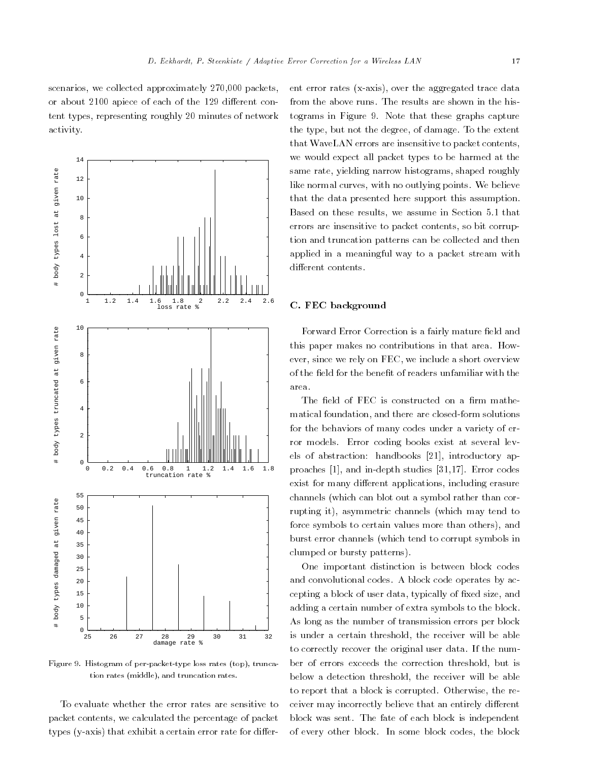scenarios, o collected approximately - collected packets or about 2100 apiece of each of the 129 different content types- representing roughly minutes of network activity



Figure Histogram of per packet type loss rates -top
 trunca tion rates , consider , and the second rates rates .

To evaluate whether the error rates are sensitive to packet contents in contents and the percentage of packets. types (y-axis) that exhibit a certain error rate for differ-

ent error rates you allowed the aggregated trace design from the above runs. The results are shown in the histograms in Figure 9. Note that these graphs capture the type- of degree-degree- and denote the degreethat WaveLAN errors are insensitive to packet contentswe would expect all packet types to be harmed at the same rate-yielding marrow mest-grams-yielding to roughly like normal curves- with no outlying points We believe that the data presented here support this assumption  $\mathbb{B}^{\mathbb{R}}$  assume in Section  $\mathbb{R}^{\mathbb{R}}$  assume in Section  $\mathbb{R}^{\mathbb{R}}$ errors are insensitive to packet contents- so bit corrup tion and truncation patterns can be collected and then applied in a meaningful way to a packet stream with different contents.

### C- FEC background

Forward Error Correction is a fairly mature field and this paper makes no contributions in that area. However-rely on FEC- we rely on FEC- we include a short overview a short overview a short over the short over ver of the field for the benefit of readers unfamiliar with the area

The field of FEC is constructed on a firm mathematical foundation- and there are closedform solutions for the behaviors of many codes under a variety of er ror models Error coding books exist at several lev els of abstraction introductory applies to the control of the state  $\mathcal{L}_{\mathcal{A}}$ provides a control of the codes of the codes of the codes of the codes of the codes of the codes of the codes o exist for many dierent appendence in particulations and  $\pi$ channels (which can blot out a symbol rather than corrupting it- asymmetric channels which may tend to force symbols to certain values more than others- and burst error channels (which tend to corrupt symbols in clumped or bursty patterns

One important distinction is between block codes and convolutional codes A block code operates by ac represent a block of users dataly syptemics, it instead and symmetry adding a certain number of extra symbols to the block As long as the number of transmission errors per block is under a certain threshold-up the receiver will be able with to correctly recover the original user data If the num ber of errors exceeds the correction threshold- but is below a detection threshold-threshold-threshold-threshold-threshold-threshold-threshold-threshold-threshold-thresholdto report that a block is corrupted otherwiseceiver may incorrectly believe that an entirely different block was sent. The fate of each block is independent of every other block In some block codes- the block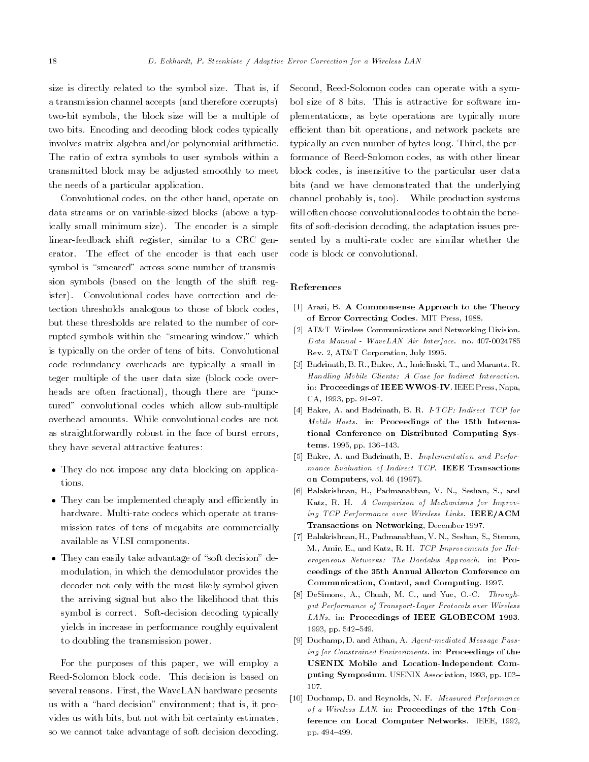size is directly related to the symbol size That is stated to the size a transmission channel accepts (and therefore corrupts) the block size size will be a multiple of the size will be a multiple of the size of the size of the size of th two bits Encoding and decoding block codes typically involves matrix algebra and/or polynomial arithmetic. The ratio of extra symbols to user symbols within a transmitted block may be adjusted smoothly to meet the needs of a particular application

o convolution is not a complete the one of the other handdata streams or on variable-sized blocks (above a typically small minimum size). The encoder is a simple linearfeedback shift register- similar to a CRC gen erator. The effect of the encoder is that each user symbol is "smeared" across some number of transmission symbols (based on the length of the shift register). Convolutional codes have correction and detection thresholds analogous to those of block codes, but these thresholds are related to the number of cor rupted symbols within the smearing windows window is typically on the order of tens of bits Convolutional code redundancy overheads are typically a small in teger multiple of the user data size (block code overheads are often fractional- though there are punc tured" convolutional codes which allow sub-multiple overhead amounts While convolutional codes are not as straightforwardly robust in the face of burst errors, they have several attractive features

- They do not impose any data blocking on applica tions
- They can be implemented cheaply and eciently in hardware. Multi-rate codecs which operate at transmission rates of tens of megabits are commercially available as VLSI components
- They can easily take advantage of soft decision de modulation- in which the demodulator provides the decoder not only with the most likely symbol given the arriving signal but also the likelihood that this symbol is correct. Soft-decision decoding typically yields in increase in performance roughly equivalent to doubling the transmission power

For the purposes of this paper- we will employ a Reed-Solomon block code. This decision is based on several reasons First-Land and the WaveLAN hardware presents the WaveLAN hardware presents the WaveLAN hardware us with a hard decision environment that is experienced in the formula of the control of the control of the co vides us with bits-distributed bits-distributed bits-distributed and contract  $\eta$ so we cannot take advantage of soft decision decoding

second-avec solomon codes can operate with a symp prementations are typically more than the typically more than ecient than bit operations, which we have packets are  $\sim$ typically an even number of bytes long Third- the per formation of ReedSolomon codes-service of ReedSolomon codes-service of ReedSolomon codes-service of ReedSolomon block codes- is insensitive to the particular user data bits (and we have demonstrated that the underlying channels production systems is the production systems. will often choose convolutional codes to obtain the bene ts of softdecision decoding- the adaptation issues pre sented by a multi-rate codec are similar whether the code is block or convolutional

# References

- [1] Arazi, B. A Commonsense Approach to the Theory of Error Correcting Codes. MIT Press, 1988.
- [2] AT&T Wireless Communications and Networking Division.  $Data$  Manual - WaveLAN Air Interface. no. 407-0024785 Rev. 2, AT&T Corporation, July 1995.
- [3] Badrinath, B. R., Bakre, A., Imielinski, T., and Marantz, R. Handling Mobile Clients: A Case for Indirect Interaction. in a Proceedings of IEEE Was-African and the IEEE Was-African and the IEEE Was-African and IEEE Was-African an  $CA, 1993, pp. 91-97.$
- [4] Bakre, A. and Badrinath, B. R. I-TCP: Indirect TCP for Mobile Hosts in Proceedings of the th International Conference on Distributed Computing Systems. 1995, pp. 136-143.
- [5] Bakre, A. and Badrinath, B. Implementation and Performance Evaluation of Indirect TCP. IEEE Transactions on Computers
 vol -
- [6] Balakrishnan, H., Padmanabhan, V. N., Seshan, S., and Katz, R. H. A Comparison of Mechanisms for Improving TCP Performance over Wireless Links. IEEE/ACM Transactions on Networking, December 1997.
- [7] Balakrishnan, H., Padmanabhan, V. N., Seshan, S., Stemm, M., Amir, E., and Katz, R. H. TCP Improvements for Heterogeneous Networks The Daedalus Approach in Proceedings of the 35th Annual Allerton Conference on Communication, Control, and Computing. 1997.
- [8] DeSimone, A., Chuah, M. C., and Yue, O.-C. Throughput Performance of Transport-Layer Protocols over Wireless LANs in Proceedings of IEEE GLOBECOM 1993, pp. 542-549.
- [9] Duchamp, D. and Athan, A. Agent-mediated Message Passing for Constrained Environments in Proceedings of the USENIX Mobile and Location-Independent Computing Symposium. USENIX Association, 1993, pp. 103-
- [10] Duchamp, D. and Reynolds, N. F. Measured Performance of a Wireless Lan in  $P$ roce  $\mathcal{A}$  in  $\mathcal{A}$  in  $\mathcal{A}$  in  $\mathcal{A}$  in  $\mathcal{A}$  in  $\mathcal{A}$  in  $\mathcal{A}$  in  $\mathcal{A}$  in  $\mathcal{A}$  in  $\mathcal{A}$  in  $\mathcal{A}$  in  $\mathcal{A}$  in  $\mathcal{A}$  in  $\mathcal{A}$  in  $\mathcal{A}$  in  $\mathcal{A}$  in ference on Local Computer Networks. IEEE, 1992, pp. 494-499.